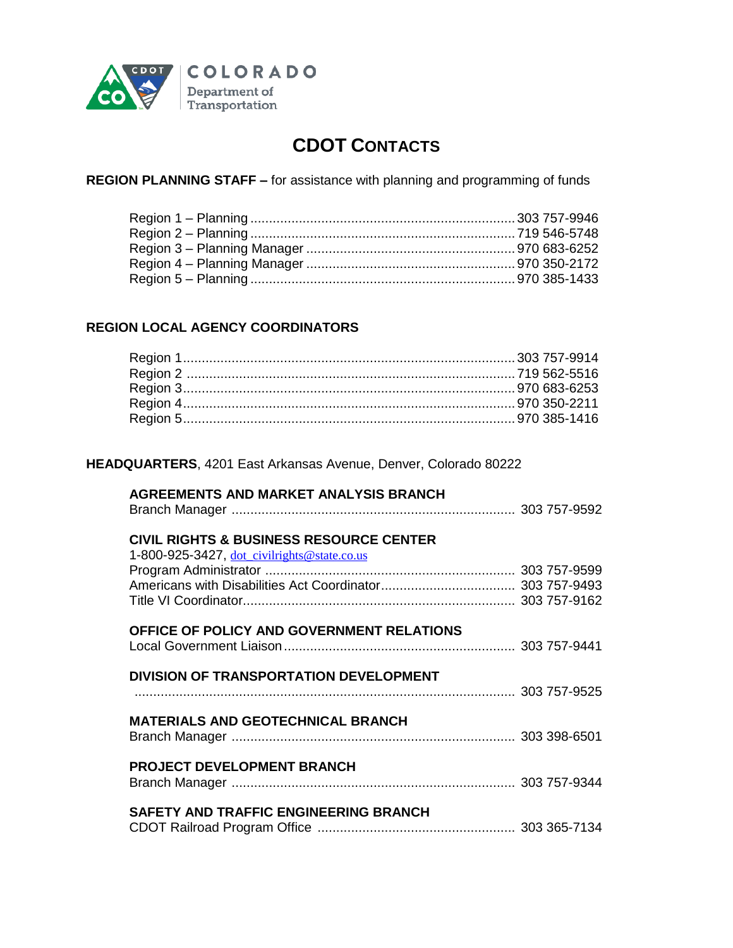

# **CDOT CONTACTS**

**REGION PLANNING STAFF –** for assistance with planning and programming of funds

# **REGION LOCAL AGENCY COORDINATORS**

### **HEADQUARTERS**, 4201 East Arkansas Avenue, Denver, Colorado 80222

### **AGREEMENTS AND MARKET ANALYSIS BRANCH**

Branch Manager ............................................................................ 303 757-9592

# **CIVIL RIGHTS & BUSINESS RESOURCE CENTER**

| 1-800-925-3427, dot_civilrights@state.co.us |  |
|---------------------------------------------|--|
|                                             |  |
|                                             |  |
|                                             |  |
| OFFICE OF POLICY AND GOVERNMENT RELATIONS   |  |
| DIVISION OF TRANSPORTATION DEVELOPMENT      |  |
|                                             |  |
| <b>MATERIALS AND GEOTECHNICAL BRANCH</b>    |  |
| PROJECT DEVELOPMENT BRANCH                  |  |
| SAFETY AND TRAFFIC ENGINEERING BRANCH       |  |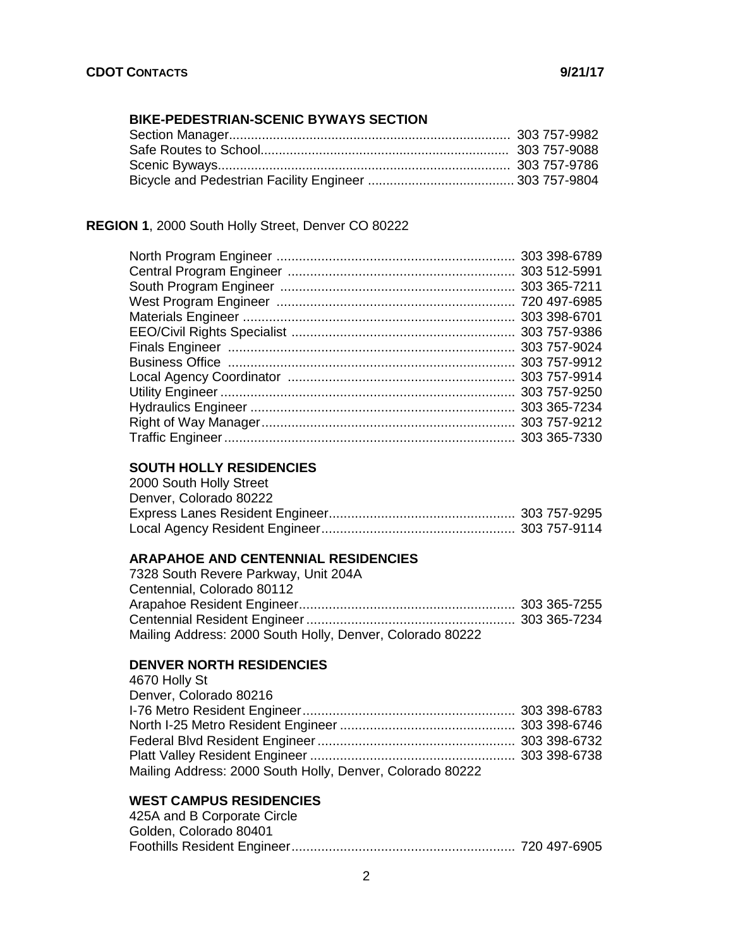# **BIKE-PEDESTRIAN-SCENIC BYWAYS SECTION**

# **REGION 1**, 2000 South Holly Street, Denver CO 80222

# **SOUTH HOLLY RESIDENCIES**

| 2000 South Holly Street |  |
|-------------------------|--|
| Denver, Colorado 80222  |  |
|                         |  |
|                         |  |

### **ARAPAHOE AND CENTENNIAL RESIDENCIES**

| 7328 South Revere Parkway, Unit 204A                      |  |
|-----------------------------------------------------------|--|
| Centennial, Colorado 80112                                |  |
|                                                           |  |
|                                                           |  |
| Mailing Address: 2000 South Holly, Denver, Colorado 80222 |  |

# **DENVER NORTH RESIDENCIES**

| 4670 Holly St                                             |  |
|-----------------------------------------------------------|--|
| Denver, Colorado 80216                                    |  |
|                                                           |  |
|                                                           |  |
|                                                           |  |
|                                                           |  |
| Mailing Address: 2000 South Holly, Denver, Colorado 80222 |  |

# **WEST CAMPUS RESIDENCIES**

| 425A and B Corporate Circle |  |
|-----------------------------|--|
| Golden, Colorado 80401      |  |
|                             |  |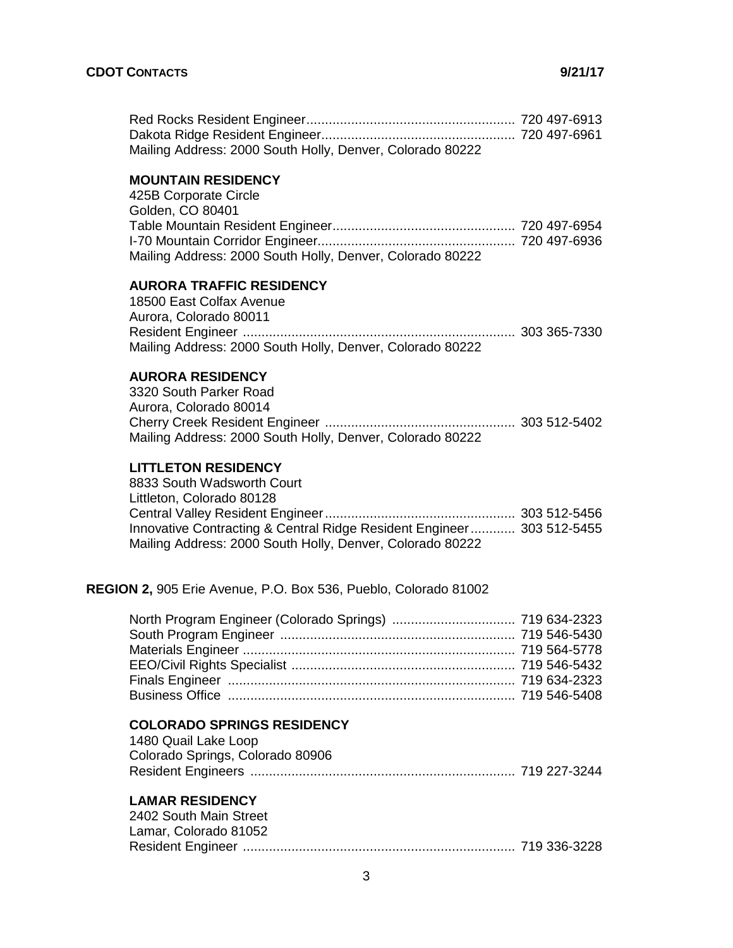| Mailing Address: 2000 South Holly, Denver, Colorado 80222 |  |
|-----------------------------------------------------------|--|

### **MOUNTAIN RESIDENCY**

| 425B Corporate Circle                                     |  |
|-----------------------------------------------------------|--|
| Golden, CO 80401                                          |  |
|                                                           |  |
|                                                           |  |
| Mailing Address: 2000 South Holly, Denver, Colorado 80222 |  |

### **AURORA TRAFFIC RESIDENCY**

18500 East Colfax Avenue Aurora, Colorado 80011 Resident Engineer ......................................................................... 303 365-7330 Mailing Address: 2000 South Holly, Denver, Colorado 80222

### **AURORA RESIDENCY**

3320 South Parker Road Aurora, Colorado 80014 Cherry Creek Resident Engineer ................................................... 303 512-5402 Mailing Address: 2000 South Holly, Denver, Colorado 80222

### **LITTLETON RESIDENCY**

8833 South Wadsworth Court Littleton, Colorado 80128 Central Valley Resident Engineer................................................... 303 512-5456 Innovative Contracting & Central Ridge Resident Engineer............ 303 512-5455 Mailing Address: 2000 South Holly, Denver, Colorado 80222

#### **REGION 2,** 905 Erie Avenue, P.O. Box 536, Pueblo, Colorado 81002

#### **COLORADO SPRINGS RESIDENCY**

| 1480 Quail Lake Loop             |  |
|----------------------------------|--|
| Colorado Springs, Colorado 80906 |  |
|                                  |  |

#### **LAMAR RESIDENCY**

| 2402 South Main Street |  |
|------------------------|--|
| Lamar, Colorado 81052  |  |
|                        |  |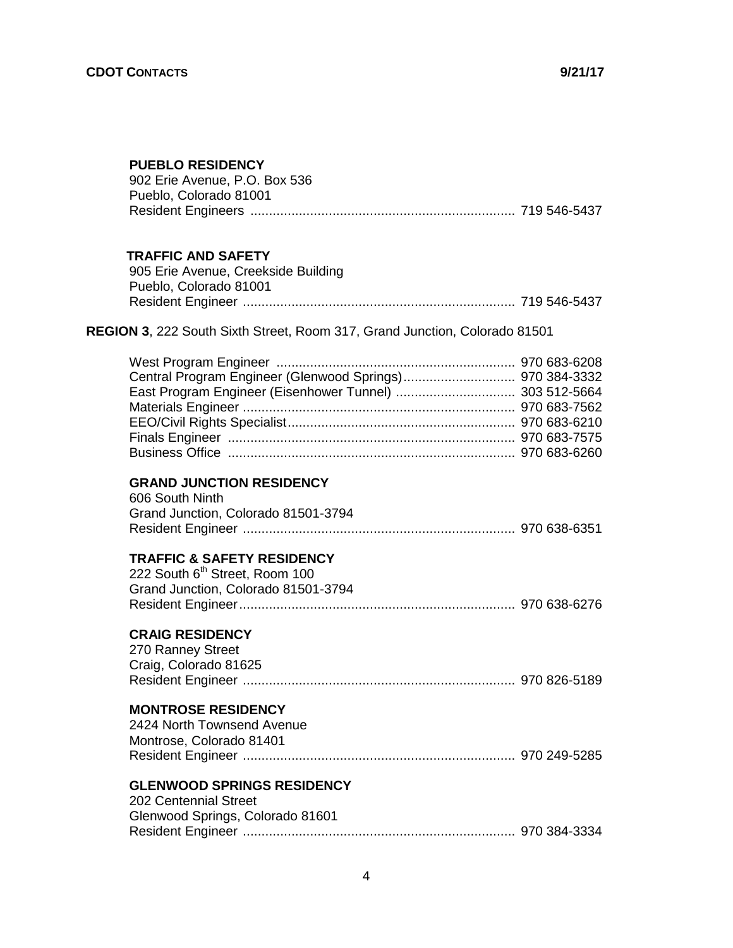### **PUEBLO RESIDENCY**

| 902 Erie Avenue, P.O. Box 536                           |  |
|---------------------------------------------------------|--|
| Pueblo, Colorado 81001                                  |  |
| Resident Engineers …………………………………………………………… 719 546-5437 |  |

### **TRAFFIC AND SAFETY**

| 905 Erie Avenue, Creekside Building |  |
|-------------------------------------|--|
| Pueblo, Colorado 81001              |  |
|                                     |  |

# **REGION 3**, 222 South Sixth Street, Room 317, Grand Junction, Colorado 81501

| East Program Engineer (Eisenhower Tunnel)  303 512-5664 |  |
|---------------------------------------------------------|--|
|                                                         |  |
|                                                         |  |
|                                                         |  |
|                                                         |  |
|                                                         |  |

# **GRAND JUNCTION RESIDENCY**

| 606 South Ninth                     |  |
|-------------------------------------|--|
| Grand Junction, Colorado 81501-3794 |  |
|                                     |  |

### **TRAFFIC & SAFETY RESIDENCY**

| 222 South 6 <sup>th</sup> Street, Room 100 |  |
|--------------------------------------------|--|
| Grand Junction, Colorado 81501-3794        |  |
|                                            |  |

# **CRAIG RESIDENCY**

| 270 Ranney Street     |  |
|-----------------------|--|
| Craig, Colorado 81625 |  |
|                       |  |

### **MONTROSE RESIDENCY**

| 2424 North Townsend Avenue |  |
|----------------------------|--|
| Montrose, Colorado 81401   |  |
|                            |  |

### **GLENWOOD SPRINGS RESIDENCY**

| 202 Centennial Street            |  |
|----------------------------------|--|
| Glenwood Springs, Colorado 81601 |  |
|                                  |  |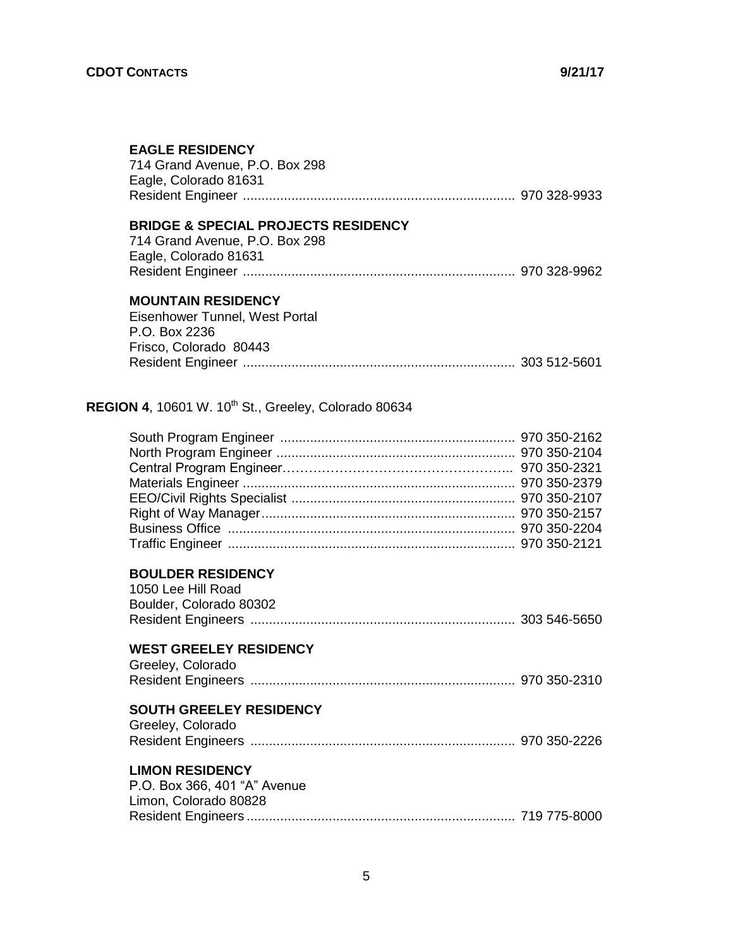| <b>EAGLE RESIDENCY</b><br>714 Grand Avenue, P.O. Box 298<br>Eagle, Colorado 81631                         |  |  |
|-----------------------------------------------------------------------------------------------------------|--|--|
| <b>BRIDGE &amp; SPECIAL PROJECTS RESIDENCY</b><br>714 Grand Avenue, P.O. Box 298<br>Eagle, Colorado 81631 |  |  |
| <b>MOUNTAIN RESIDENCY</b><br>Eisenhower Tunnel, West Portal<br>P.O. Box 2236<br>Frisco, Colorado 80443    |  |  |
| <b>REGION 4, 10601 W. 10<sup>th</sup> St., Greeley, Colorado 80634</b>                                    |  |  |
|                                                                                                           |  |  |
| <b>BOULDER RESIDENCY</b><br>1050 Lee Hill Road<br>Boulder, Colorado 80302                                 |  |  |
| <b>WEST GREELEY RESIDENCY</b><br>Greeley, Colorado                                                        |  |  |
| <b>SOUTH GREELEY RESIDENCY</b><br>Greeley, Colorado                                                       |  |  |
| <b>LIMON RESIDENCY</b><br>P.O. Box 366, 401 "A" Avenue<br>Limon, Colorado 80828                           |  |  |

Resident Engineers ........................................................................ 719 775-8000